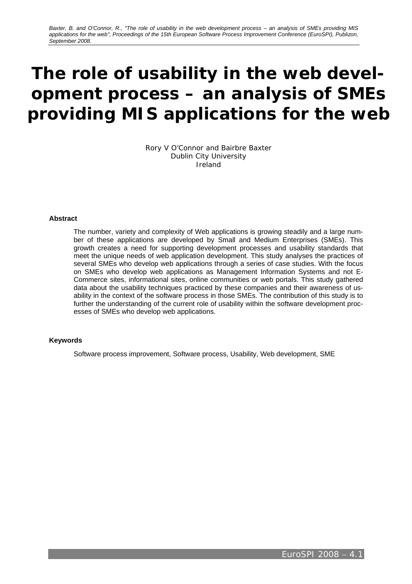# **The role of usability in the web development process – an analysis of SMEs providing MIS applications for the web**

*Rory V O'Connor and Bairbre Baxter Dublin City University Ireland* 

#### **Abstract**

The number, variety and complexity of Web applications is growing steadily and a large number of these applications are developed by Small and Medium Enterprises (SMEs). This growth creates a need for supporting development processes and usability standards that meet the unique needs of web application development. This study analyses the practices of several SMEs who develop web applications through a series of case studies. With the focus on SMEs who develop web applications as Management Information Systems and not E-Commerce sites, informational sites, online communities or web portals. This study gathered data about the usability techniques practiced by these companies and their awareness of usability in the context of the software process in those SMEs. The contribution of this study is to further the understanding of the current role of usability within the software development processes of SMEs who develop web applications.

#### **Keywords**

Software process improvement, Software process, Usability, Web development, SME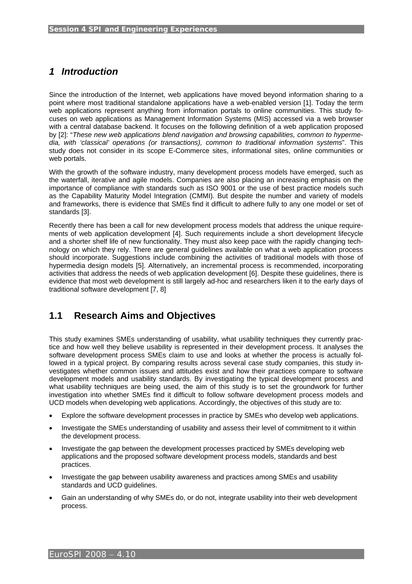## *1 Introduction*

Since the introduction of the Internet, web applications have moved beyond information sharing to a point where most traditional standalone applications have a web-enabled version [1]. Today the term web applications represent anything from information portals to online communities. This study focuses on web applications as Management Information Systems (MIS) accessed via a web browser with a central database backend. It focuses on the following definition of a web application proposed by [2]: "*These new web applications blend navigation and browsing capabilities, common to hypermedia, with 'classical' operations (or transactions), common to traditional information systems*". This study does not consider in its scope E-Commerce sites, informational sites, online communities or web portals.

With the growth of the software industry, many development process models have emerged, such as the waterfall, iterative and agile models. Companies are also placing an increasing emphasis on the importance of compliance with standards such as ISO 9001 or the use of best practice models such as the Capability Maturity Model Integration (CMMI). But despite the number and variety of models and frameworks, there is evidence that SMEs find it difficult to adhere fully to any one model or set of standards [3].

Recently there has been a call for new development process models that address the unique requirements of web application development [4]. Such requirements include a short development lifecycle and a shorter shelf life of new functionality. They must also keep pace with the rapidly changing technology on which they rely. There are general guidelines available on what a web application process should incorporate. Suggestions include combining the activities of traditional models with those of hypermedia design models [5]. Alternatively, an incremental process is recommended, incorporating activities that address the needs of web application development [6]. Despite these guidelines, there is evidence that most web development is still largely ad-hoc and researchers liken it to the early days of traditional software development [7, 8]

## **1.1 Research Aims and Objectives**

This study examines SMEs understanding of usability, what usability techniques they currently practice and how well they believe usability is represented in their development process. It analyses the software development process SMEs claim to use and looks at whether the process is actually followed in a typical project. By comparing results across several case study companies, this study investigates whether common issues and attitudes exist and how their practices compare to software development models and usability standards. By investigating the typical development process and what usability techniques are being used, the aim of this study is to set the groundwork for further investigation into whether SMEs find it difficult to follow software development process models and UCD models when developing web applications. Accordingly, the objectives of this study are to:

- Explore the software development processes in practice by SMEs who develop web applications.
- Investigate the SMEs understanding of usability and assess their level of commitment to it within the development process.
- Investigate the gap between the development processes practiced by SMEs developing web applications and the proposed software development process models, standards and best practices.
- Investigate the gap between usability awareness and practices among SMEs and usability standards and UCD guidelines.
- Gain an understanding of why SMEs do, or do not, integrate usability into their web development process.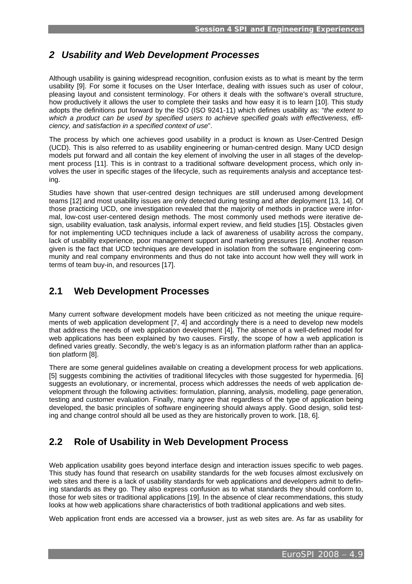## *2 Usability and Web Development Processes*

Although usability is gaining widespread recognition, confusion exists as to what is meant by the term usability [9]. For some it focuses on the User Interface, dealing with issues such as user of colour, pleasing layout and consistent terminology. For others it deals with the software's overall structure, how productively it allows the user to complete their tasks and how easy it is to learn [10]. This study adopts the definitions put forward by the ISO (ISO 9241-11) which defines usability as: "*the extent to which a product can be used by specified users to achieve specified goals with effectiveness, efficiency, and satisfaction in a specified context of use*".

The process by which one achieves good usability in a product is known as User-Centred Design (UCD). This is also referred to as usability engineering or human-centred design. Many UCD design models put forward and all contain the key element of involving the user in all stages of the development process [11]. This is in contrast to a traditional software development process, which only involves the user in specific stages of the lifecycle, such as requirements analysis and acceptance testing.

Studies have shown that user-centred design techniques are still underused among development teams [12] and most usability issues are only detected during testing and after deployment [13, 14]. Of those practicing UCD, one investigation revealed that the majority of methods in practice were informal, low-cost user-centered design methods. The most commonly used methods were iterative design, usability evaluation, task analysis, informal expert review, and field studies [15]. Obstacles given for not implementing UCD techniques include a lack of awareness of usability across the company, lack of usability experience, poor management support and marketing pressures [16]. Another reason given is the fact that UCD techniques are developed in isolation from the software engineering community and real company environments and thus do not take into account how well they will work in terms of team buy-in, and resources [17].

## **2.1 Web Development Processes**

Many current software development models have been criticized as not meeting the unique requirements of web application development [7, 4] and accordingly there is a need to develop new models that address the needs of web application development [4]. The absence of a well-defined model for web applications has been explained by two causes. Firstly, the scope of how a web application is defined varies greatly. Secondly, the web's legacy is as an information platform rather than an application platform [8].

There are some general guidelines available on creating a development process for web applications. [5] suggests combining the activities of traditional lifecycles with those suggested for hypermedia. [6] suggests an evolutionary, or incremental, process which addresses the needs of web application development through the following activities: formulation, planning, analysis, modelling, page generation, testing and customer evaluation. Finally, many agree that regardless of the type of application being developed, the basic principles of software engineering should always apply. Good design, solid testing and change control should all be used as they are historically proven to work. [18, 6].

# **2.2 Role of Usability in Web Development Process**

Web application usability goes beyond interface design and interaction issues specific to web pages. This study has found that research on usability standards for the web focuses almost exclusively on web sites and there is a lack of usability standards for web applications and developers admit to defining standards as they go. They also express confusion as to what standards they should conform to, those for web sites or traditional applications [19]. In the absence of clear recommendations, this study looks at how web applications share characteristics of both traditional applications and web sites.

Web application front ends are accessed via a browser, just as web sites are. As far as usability for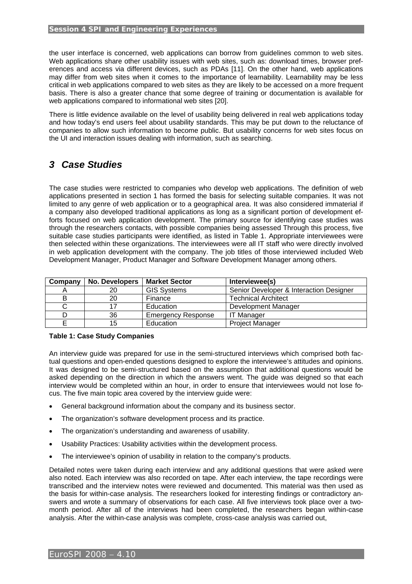the user interface is concerned, web applications can borrow from guidelines common to web sites. Web applications share other usability issues with web sites, such as: download times, browser preferences and access via different devices, such as PDAs [11]. On the other hand, web applications may differ from web sites when it comes to the importance of learnability. Learnability may be less critical in web applications compared to web sites as they are likely to be accessed on a more frequent basis. There is also a greater chance that some degree of training or documentation is available for web applications compared to informational web sites [20].

There is little evidence available on the level of usability being delivered in real web applications today and how today's end users feel about usability standards. This may be put down to the reluctance of companies to allow such information to become public. But usability concerns for web sites focus on the UI and interaction issues dealing with information, such as searching.

## *3 Case Studies*

The case studies were restricted to companies who develop web applications. The definition of web applications presented in section 1 has formed the basis for selecting suitable companies. It was not limited to any genre of web application or to a geographical area. It was also considered immaterial if a company also developed traditional applications as long as a significant portion of development efforts focused on web application development. The primary source for identifying case studies was through the researchers contacts, with possible companies being assessed Through this process, five suitable case studies participants were identified, as listed in Table 1. Appropriate interviewees were then selected within these organizations. The interviewees were all IT staff who were directly involved in web application development with the company. The job titles of those interviewed included Web Development Manager, Product Manager and Software Development Manager among others.

| Company | <b>No. Developers</b> | <b>Market Sector</b>      | Interviewee(s)                          |
|---------|-----------------------|---------------------------|-----------------------------------------|
|         | 20                    | <b>GIS Systems</b>        | Senior Developer & Interaction Designer |
| B       | 20                    | Finance                   | <b>Technical Architect</b>              |
| U       |                       | Education                 | Development Manager                     |
|         | 36                    | <b>Emergency Response</b> | IT Manager                              |
|         | 15                    | Education                 | <b>Project Manager</b>                  |

#### **Table 1: Case Study Companies**

An interview guide was prepared for use in the semi-structured interviews which comprised both factual questions and open-ended questions designed to explore the interviewee's attitudes and opinions. It was designed to be semi-structured based on the assumption that additional questions would be asked depending on the direction in which the answers went. The guide was deigned so that each interview would be completed within an hour, in order to ensure that interviewees would not lose focus. The five main topic area covered by the interview guide were:

- General background information about the company and its business sector.
- The organization's software development process and its practice.
- The organization's understanding and awareness of usability.
- Usability Practices: Usability activities within the development process.
- The interviewee's opinion of usability in relation to the company's products.

Detailed notes were taken during each interview and any additional questions that were asked were also noted. Each interview was also recorded on tape. After each interview, the tape recordings were transcribed and the interview notes were reviewed and documented. This material was then used as the basis for within-case analysis. The researchers looked for interesting findings or contradictory answers and wrote a summary of observations for each case. All five interviews took place over a twomonth period. After all of the interviews had been completed, the researchers began within-case analysis. After the within-case analysis was complete, cross-case analysis was carried out,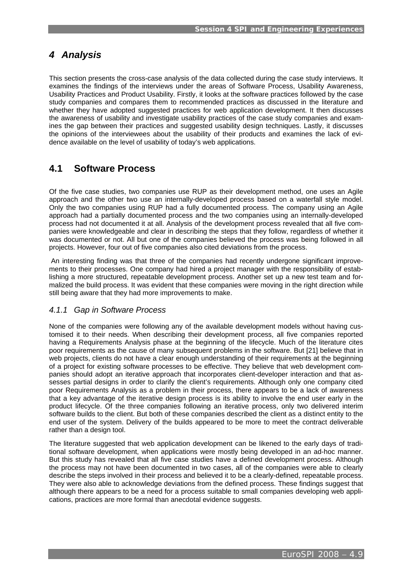# *4 Analysis*

This section presents the cross-case analysis of the data collected during the case study interviews. It examines the findings of the interviews under the areas of Software Process, Usability Awareness, Usability Practices and Product Usability. Firstly, it looks at the software practices followed by the case study companies and compares them to recommended practices as discussed in the literature and whether they have adopted suggested practices for web application development. It then discusses the awareness of usability and investigate usability practices of the case study companies and examines the gap between their practices and suggested usability design techniques. Lastly, it discusses the opinions of the interviewees about the usability of their products and examines the lack of evidence available on the level of usability of today's web applications.

## **4.1 Software Process**

Of the five case studies, two companies use RUP as their development method, one uses an Agile approach and the other two use an internally-developed process based on a waterfall style model. Only the two companies using RUP had a fully documented process. The company using an Agile approach had a partially documented process and the two companies using an internally-developed process had not documented it at all. Analysis of the development process revealed that all five companies were knowledgeable and clear in describing the steps that they follow, regardless of whether it was documented or not. All but one of the companies believed the process was being followed in all projects. However, four out of five companies also cited deviations from the process.

 An interesting finding was that three of the companies had recently undergone significant improvements to their processes. One company had hired a project manager with the responsibility of establishing a more structured, repeatable development process. Another set up a new test team and formalized the build process. It was evident that these companies were moving in the right direction while still being aware that they had more improvements to make.

#### *4.1.1 Gap in Software Process*

None of the companies were following any of the available development models without having customised it to their needs. When describing their development process, all five companies reported having a Requirements Analysis phase at the beginning of the lifecycle. Much of the literature cites poor requirements as the cause of many subsequent problems in the software. But [21] believe that in web projects, clients do not have a clear enough understanding of their requirements at the beginning of a project for existing software processes to be effective. They believe that web development companies should adopt an iterative approach that incorporates client-developer interaction and that assesses partial designs in order to clarify the client's requirements. Although only one company cited poor Requirements Analysis as a problem in their process, there appears to be a lack of awareness that a key advantage of the iterative design process is its ability to involve the end user early in the product lifecycle. Of the three companies following an iterative process, only two delivered interim software builds to the client. But both of these companies described the client as a distinct entity to the end user of the system. Delivery of the builds appeared to be more to meet the contract deliverable rather than a design tool.

The literature suggested that web application development can be likened to the early days of traditional software development, when applications were mostly being developed in an ad-hoc manner. But this study has revealed that all five case studies have a defined development process. Although the process may not have been documented in two cases, all of the companies were able to clearly describe the steps involved in their process and believed it to be a clearly-defined, repeatable process. They were also able to acknowledge deviations from the defined process. These findings suggest that although there appears to be a need for a process suitable to small companies developing web applications, practices are more formal than anecdotal evidence suggests.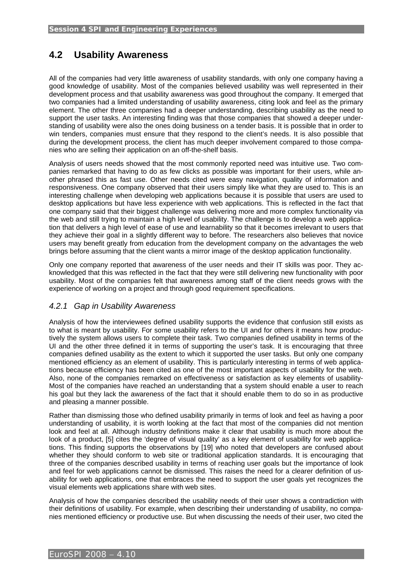## **4.2 Usability Awareness**

All of the companies had very little awareness of usability standards, with only one company having a good knowledge of usability. Most of the companies believed usability was well represented in their development process and that usability awareness was good throughout the company. It emerged that two companies had a limited understanding of usability awareness, citing look and feel as the primary element. The other three companies had a deeper understanding, describing usability as the need to support the user tasks. An interesting finding was that those companies that showed a deeper understanding of usability were also the ones doing business on a tender basis. It is possible that in order to win tenders, companies must ensure that they respond to the client's needs. It is also possible that during the development process, the client has much deeper involvement compared to those companies who are selling their application on an off-the-shelf basis.

Analysis of users needs showed that the most commonly reported need was intuitive use. Two companies remarked that having to do as few clicks as possible was important for their users, while another phrased this as fast use. Other needs cited were easy navigation, quality of information and responsiveness. One company observed that their users simply like what they are used to. This is an interesting challenge when developing web applications because it is possible that users are used to desktop applications but have less experience with web applications. This is reflected in the fact that one company said that their biggest challenge was delivering more and more complex functionality via the web and still trying to maintain a high level of usability. The challenge is to develop a web application that delivers a high level of ease of use and learnability so that it becomes irrelevant to users that they achieve their goal in a slightly different way to before. The researchers also believes that novice users may benefit greatly from education from the development company on the advantages the web brings before assuming that the client wants a mirror image of the desktop application functionality.

Only one company reported that awareness of the user needs and their IT skills was poor. They acknowledged that this was reflected in the fact that they were still delivering new functionality with poor usability. Most of the companies felt that awareness among staff of the client needs grows with the experience of working on a project and through good requirement specifications.

#### *4.2.1 Gap in Usability Awareness*

Analysis of how the interviewees defined usability supports the evidence that confusion still exists as to what is meant by usability. For some usability refers to the UI and for others it means how productively the system allows users to complete their task. Two companies defined usability in terms of the UI and the other three defined it in terms of supporting the user's task. It is encouraging that three companies defined usability as the extent to which it supported the user tasks. But only one company mentioned efficiency as an element of usability. This is particularly interesting in terms of web applications because efficiency has been cited as one of the most important aspects of usability for the web. Also, none of the companies remarked on effectiveness or satisfaction as key elements of usability-Most of the companies have reached an understanding that a system should enable a user to reach his goal but they lack the awareness of the fact that it should enable them to do so in as productive and pleasing a manner possible.

Rather than dismissing those who defined usability primarily in terms of look and feel as having a poor understanding of usability, it is worth looking at the fact that most of the companies did not mention look and feel at all. Although industry definitions make it clear that usability is much more about the look of a product, [5] cites the 'degree of visual quality' as a key element of usability for web applications. This finding supports the observations by [19] who noted that developers are confused about whether they should conform to web site or traditional application standards. It is encouraging that three of the companies described usability in terms of reaching user goals but the importance of look and feel for web applications cannot be dismissed. This raises the need for a clearer definition of usability for web applications, one that embraces the need to support the user goals yet recognizes the visual elements web applications share with web sites.

Analysis of how the companies described the usability needs of their user shows a contradiction with their definitions of usability. For example, when describing their understanding of usability, no companies mentioned efficiency or productive use. But when discussing the needs of their user, two cited the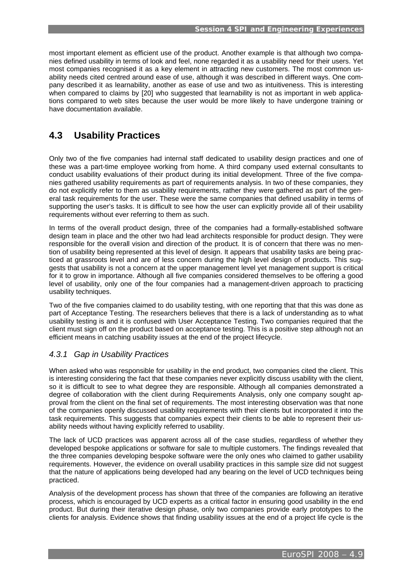most important element as efficient use of the product. Another example is that although two companies defined usability in terms of look and feel, none regarded it as a usability need for their users. Yet most companies recognised it as a key element in attracting new customers. The most common usability needs cited centred around ease of use, although it was described in different ways. One company described it as learnability, another as ease of use and two as intuitiveness. This is interesting when compared to claims by [20] who suggested that learnability is not as important in web applications compared to web sites because the user would be more likely to have undergone training or have documentation available.

## **4.3 Usability Practices**

Only two of the five companies had internal staff dedicated to usability design practices and one of these was a part-time employee working from home. A third company used external consultants to conduct usability evaluations of their product during its initial development. Three of the five companies gathered usability requirements as part of requirements analysis. In two of these companies, they do not explicitly refer to them as usability requirements, rather they were gathered as part of the general task requirements for the user. These were the same companies that defined usability in terms of supporting the user's tasks. It is difficult to see how the user can explicitly provide all of their usability requirements without ever referring to them as such.

In terms of the overall product design, three of the companies had a formally-established software design team in place and the other two had lead architects responsible for product design. They were responsible for the overall vision and direction of the product. It is of concern that there was no mention of usability being represented at this level of design. It appears that usability tasks are being practiced at grassroots level and are of less concern during the high level design of products. This suggests that usability is not a concern at the upper management level yet management support is critical for it to grow in importance. Although all five companies considered themselves to be offering a good level of usability, only one of the four companies had a management-driven approach to practicing usability techniques.

Two of the five companies claimed to do usability testing, with one reporting that that this was done as part of Acceptance Testing. The researchers believes that there is a lack of understanding as to what usability testing is and it is confused with User Acceptance Testing. Two companies required that the client must sign off on the product based on acceptance testing. This is a positive step although not an efficient means in catching usability issues at the end of the project lifecycle.

#### *4.3.1 Gap in Usability Practices*

When asked who was responsible for usability in the end product, two companies cited the client. This is interesting considering the fact that these companies never explicitly discuss usability with the client, so it is difficult to see to what degree they are responsible. Although all companies demonstrated a degree of collaboration with the client during Requirements Analysis, only one company sought approval from the client on the final set of requirements. The most interesting observation was that none of the companies openly discussed usability requirements with their clients but incorporated it into the task requirements. This suggests that companies expect their clients to be able to represent their usability needs without having explicitly referred to usability.

The lack of UCD practices was apparent across all of the case studies, regardless of whether they developed bespoke applications or software for sale to multiple customers. The findings revealed that the three companies developing bespoke software were the only ones who claimed to gather usability requirements. However, the evidence on overall usability practices in this sample size did not suggest that the nature of applications being developed had any bearing on the level of UCD techniques being practiced.

Analysis of the development process has shown that three of the companies are following an iterative process, which is encouraged by UCD experts as a critical factor in ensuring good usability in the end product. But during their iterative design phase, only two companies provide early prototypes to the clients for analysis. Evidence shows that finding usability issues at the end of a project life cycle is the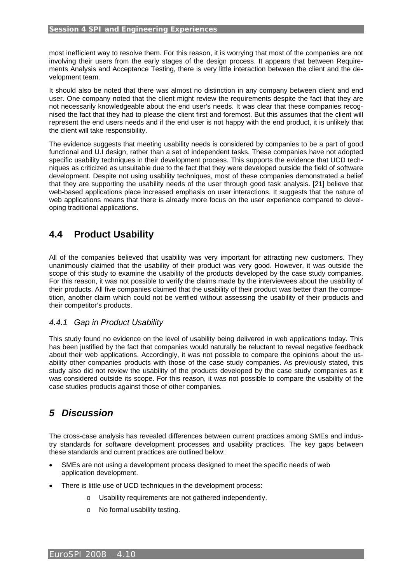most inefficient way to resolve them. For this reason, it is worrying that most of the companies are not involving their users from the early stages of the design process. It appears that between Requirements Analysis and Acceptance Testing, there is very little interaction between the client and the development team.

It should also be noted that there was almost no distinction in any company between client and end user. One company noted that the client might review the requirements despite the fact that they are not necessarily knowledgeable about the end user's needs. It was clear that these companies recognised the fact that they had to please the client first and foremost. But this assumes that the client will represent the end users needs and if the end user is not happy with the end product, it is unlikely that the client will take responsibility.

The evidence suggests that meeting usability needs is considered by companies to be a part of good functional and U.I design, rather than a set of independent tasks. These companies have not adopted specific usability techniques in their development process. This supports the evidence that UCD techniques as criticized as unsuitable due to the fact that they were developed outside the field of software development. Despite not using usability techniques, most of these companies demonstrated a belief that they are supporting the usability needs of the user through good task analysis. [21] believe that web-based applications place increased emphasis on user interactions. It suggests that the nature of web applications means that there is already more focus on the user experience compared to developing traditional applications.

## **4.4 Product Usability**

All of the companies believed that usability was very important for attracting new customers. They unanimously claimed that the usability of their product was very good. However, it was outside the scope of this study to examine the usability of the products developed by the case study companies. For this reason, it was not possible to verify the claims made by the interviewees about the usability of their products. All five companies claimed that the usability of their product was better than the competition, another claim which could not be verified without assessing the usability of their products and their competitor's products.

#### *4.4.1 Gap in Product Usability*

This study found no evidence on the level of usability being delivered in web applications today. This has been justified by the fact that companies would naturally be reluctant to reveal negative feedback about their web applications. Accordingly, it was not possible to compare the opinions about the usability other companies products with those of the case study companies. As previously stated, this study also did not review the usability of the products developed by the case study companies as it was considered outside its scope. For this reason, it was not possible to compare the usability of the case studies products against those of other companies.

# *5 Discussion*

The cross-case analysis has revealed differences between current practices among SMEs and industry standards for software development processes and usability practices. The key gaps between these standards and current practices are outlined below:

- SMEs are not using a development process designed to meet the specific needs of web application development.
- There is little use of UCD techniques in the development process:
	- o Usability requirements are not gathered independently.
	- o No formal usability testing.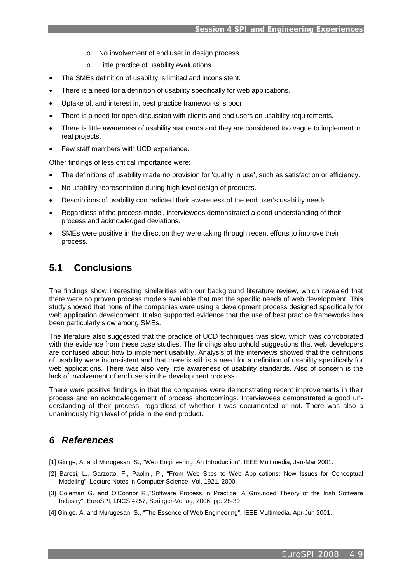- o No involvement of end user in design process.
- o Little practice of usability evaluations.
- The SMEs definition of usability is limited and inconsistent.
- There is a need for a definition of usability specifically for web applications.
- Uptake of, and interest in, best practice frameworks is poor.
- There is a need for open discussion with clients and end users on usability requirements.
- There is little awareness of usability standards and they are considered too vague to implement in real projects.
- Few staff members with UCD experience.

Other findings of less critical importance were:

- The definitions of usability made no provision for 'quality in use', such as satisfaction or efficiency.
- No usability representation during high level design of products.
- Descriptions of usability contradicted their awareness of the end user's usability needs.
- Regardless of the process model, interviewees demonstrated a good understanding of their process and acknowledged deviations.
- SMEs were positive in the direction they were taking through recent efforts to improve their process.

#### **5.1 Conclusions**

The findings show interesting similarities with our background literature review, which revealed that there were no proven process models available that met the specific needs of web development. This study showed that none of the companies were using a development process designed specifically for web application development. It also supported evidence that the use of best practice frameworks has been particularly slow among SMEs.

The literature also suggested that the practice of UCD techniques was slow, which was corroborated with the evidence from these case studies. The findings also uphold suggestions that web developers are confused about how to implement usability. Analysis of the interviews showed that the definitions of usability were inconsistent and that there is still is a need for a definition of usability specifically for web applications. There was also very little awareness of usability standards. Also of concern is the lack of involvement of end users in the development process.

There were positive findings in that the companies were demonstrating recent improvements in their process and an acknowledgement of process shortcomings. Interviewees demonstrated a good understanding of their process, regardless of whether it was documented or not. There was also a unanimously high level of pride in the end product.

#### *6 References*

- [1] Ginige, A. and Murugesan, S., "Web Engineering: An Introduction", IEEE Multimedia, Jan-Mar 2001.
- [2] Baresi, L., Garzotto, F., Paolini, P., "From Web Sites to Web Applications: New Issues for Conceptual Modeling", Lecture Notes in Computer Science, Vol. 1921, 2000.
- [3] Coleman G. and O'Connor R.,"Software Process in Practice: A Grounded Theory of the Irish Software Industry", EuroSPI, LNCS 4257, Springer-Verlag, 2006, pp. 28-39
- [4] Ginige, A. and Murugesan, S., "The Essence of Web Engineering", IEEE Multimedia, Apr-Jun 2001.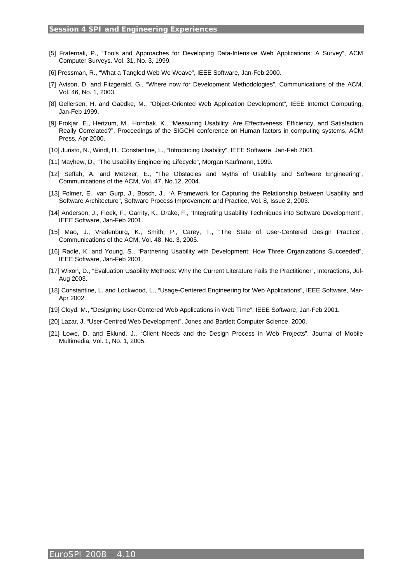- [5] Fraternali, P., "Tools and Approaches for Developing Data-Intensive Web Applications: A Survey", ACM Computer Surveys. Vol. 31, No. 3, 1999.
- [6] Pressman, R., "What a Tangled Web We Weave", IEEE Software, Jan-Feb 2000.
- [7] Avison, D. and Fitzgerald, G., "Where now for Development Methodologies", Communications of the ACM, Vol. 46, No. 1, 2003.
- [8] Gellersen, H. and Gaedke, M., "Object-Oriented Web Application Development", IEEE Internet Computing, Jan-Feb 1999.
- [9] Frokjar, E., Hertzum, M., Hornbak, K., "Measuring Usability: Are Effectiveness, Efficiency, and Satisfaction Really Correlated?", Proceedings of the SIGCHI conference on Human factors in computing systems, ACM Press, Apr 2000.
- [10] Juristo, N., Windl, H., Constantine, L., "Introducing Usability", IEEE Software, Jan-Feb 2001.
- [11] Mayhew, D., "The Usability Engineering Lifecycle", Morgan Kaufmann, 1999.
- [12] Seffah, A. and Metzker, E., "The Obstacles and Myths of Usability and Software Engineering", Communications of the ACM, Vol. 47, No.12, 2004.
- [13] Folmer, E., van Gurp, J., Bosch, J., "A Framework for Capturing the Relationship between Usability and Software Architecture", Software Process Improvement and Practice, Vol. 8, Issue 2, 2003.
- [14] Anderson, J., Fleek, F., Garrity, K., Drake, F., "Integrating Usability Techniques into Software Development", IEEE Software, Jan-Feb 2001.
- [15] Mao, J., Vredenburg, K., Smith, P., Carey, T., "The State of User-Centered Design Practice", Communications of the ACM, Vol. 48, No. 3, 2005.
- [16] Radle, K. and Young, S., "Partnering Usability with Development: How Three Organizations Succeeded", IEEE Software, Jan-Feb 2001.
- [17] Wixon, D., "Evaluation Usability Methods: Why the Current Literature Fails the Practitioner", Interactions, Jul-Aug 2003.
- [18] Constantine, L. and Lockwood, L., "Usage-Centered Engineering for Web Applications", IEEE Software, Mar-Apr 2002.
- [19] Cloyd, M., "Designing User-Centered Web Applications in Web Time", IEEE Software, Jan-Feb 2001.
- [20] Lazar, J, "User-Centred Web Development", Jones and Bartlett Computer Science, 2000.
- [21] Lowe, D. and Eklund, J., "Client Needs and the Design Process in Web Projects", Journal of Mobile Multimedia, Vol. 1, No. 1, 2005.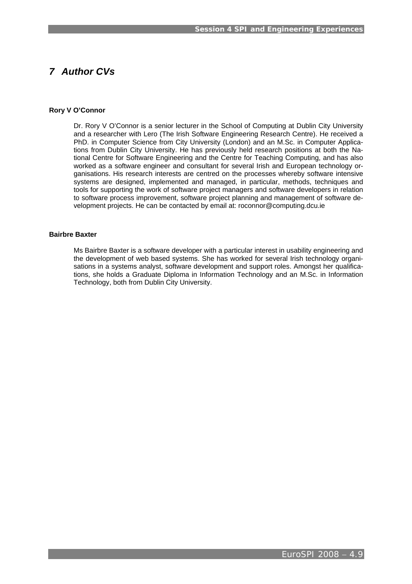#### *7 Author CVs*

#### **Rory V O'Connor**

Dr. Rory V O'Connor is a senior lecturer in the School of Computing at Dublin City University and a researcher with Lero (The Irish Software Engineering Research Centre). He received a PhD. in Computer Science from City University (London) and an M.Sc. in Computer Applications from Dublin City University. He has previously held research positions at both the National Centre for Software Engineering and the Centre for Teaching Computing, and has also worked as a software engineer and consultant for several Irish and European technology organisations. His research interests are centred on the processes whereby software intensive systems are designed, implemented and managed, in particular, methods, techniques and tools for supporting the work of software project managers and software developers in relation to software process improvement, software project planning and management of software development projects. He can be contacted by email at: roconnor@computing.dcu.ie

#### **Bairbre Baxter**

Ms Bairbre Baxter is a software developer with a particular interest in usability engineering and the development of web based systems. She has worked for several Irish technology organisations in a systems analyst, software development and support roles. Amongst her qualifications, she holds a Graduate Diploma in Information Technology and an M.Sc. in Information Technology, both from Dublin City University.